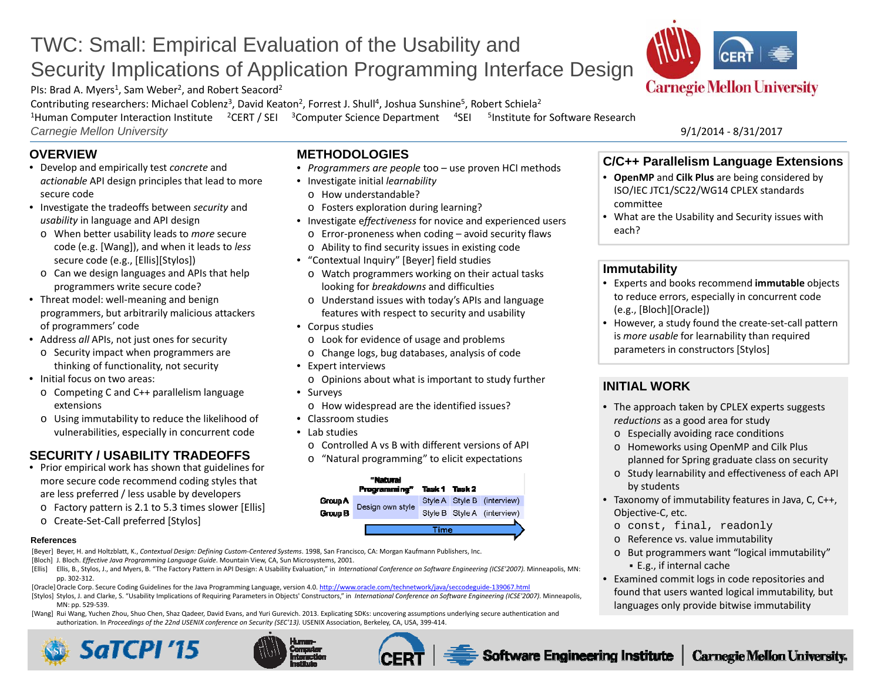# TWC: Small: Empirical Evaluation of the Usability and Security Implications of Application Programming Interface Design

PIs: Brad A. Myers<sup>1</sup>, Sam Weber<sup>2</sup>, and Robert Seacord<sup>2</sup>

Contributing researchers: Michael Coblenz<sup>3</sup>, David Keaton<sup>2</sup>, Forrest J. Shull<sup>4</sup>, Joshua Sunshine<sup>5</sup>, Robert Schiela<sup>2</sup>

<sup>1</sup>Human Computer Interaction Institute <sup>2</sup>CERT / SEI <sup>3</sup>Computer Science Department <sup>4</sup>SEI <sup>5</sup>Institute for Software Research *Carnegie Mellon University* 9/1/2014 ‐ 8/31/2017

• Corpus studies

• Expert interviews

• Classroom studies • Lab studies

**Group A** 

Group B

• Surveys

**METHODOLOGIES**

• Investigate initial *learnability* o How understandable?

o Fosters exploration during learning?

• "Contextual Inquiry" [Beyer] field studies

• *Programmers are people* too – use proven HCI methods

• Investigate <sup>e</sup>*ffectiveness* for novice and experienced users o Error‐proneness when coding – avoid security flaws o Ability to find security issues in existing code

o Watch programmers working on their actual tasks looking for *breakdowns* and difficulties

o Understand issues with today's APIs and language features with respect to security and usability

o Opinions about what is important to study further

o Look for evidence of usage and problems o Change logs, bug databases, analysis of code

o How widespread are the identified issues?

"Natural Programming"

Design own style

o Controlled A vs B with different versions of API o "Natural programming" to elicit expectations

Task 1 Task 2

Time

Style A Style B (interview)

Style B Style A (interview)

# **OVERVIEW**

- Develop and empirically test *concrete* and *actionable* API design principles that lead to more secure code
- Investigate the tradeoffs between *security* and *usability* in language and API design
	- o When better usability leads to *more* secure code (e.g. [Wang]), and when it leads to *less* secure code (e.g., [Ellis][Stylos])
- o Can we design languages and APIs that help programmers write secure code?
- Threat model: well‐meaning and benign programmers, but arbitrarily malicious attackers of programmers' code
- Address *all* APIs, not just ones for security
	- o Security impact when programmers are thinking of functionality, not security
- Initial focus on two areas:
	- o Competing C and C++ parallelism language extensions
	- o Using immutability to reduce the likelihood of vulnerabilities, especially in concurrent code

# **SECURITY / USABILITY TRADEOFFS**

- Prior empirical work has shown that guidelines for more secure code recommend coding styles that are less preferred / less usable by developers
	- o Factory pattern is 2.1 to 5.3 times slower [Ellis]
	- o Create‐Set‐Call preferred [Stylos]

### **References**

[Beyer] Beyer, H. and Holtzblatt, K., *Contextual Design: Defining Custom‐Centered Systems*. 1998, San Francisco, CA: Morgan Kaufmann Publishers, Inc.

- [Bloch] J. Bloch. *Effective Java Programming Language Guide*. Mountain View, CA, Sun Microsystems, 2001.
- [Ellis] Ellis, B., Stylos, J., and Myers, B. "The Factory Pattern in API Design: A Usability Evaluation," in International Conference on Software Engineering (ICSE'2007). Minneapolis, MN: pp. 302‐312.
- [Oracle]Oracle Corp. Secure Coding Guidelines for the Java Programming Language, version 4.0. http://www.oracle.com/technetwork/java/seccodeguide-139067.html
- [Stylos] Stylos, J. and Clarke, S. "Usability Implications of Requiring Parameters in Objects' Constructors," in International Conference on Software Engineering (ICSE'2007). Minneapolis, MN: pp. 529‐539.
- [Wang] Rui Wang, Yuchen Zhou, Shuo Chen, Shaz Qadeer, David Evans, and Yuri Gurevich. 2013. Explicating SDKs: uncovering assumptions underlying secure authentication and authorization. In *Proceedings of the 22nd USENIX conference on Security (SEC'13).* USENIX Association, Berkeley, CA, USA, 399‐414.







# **C/C++ Parallelism Language Extensions**

- **OpenMP** and **Cilk Plus** are being considered by ISO/IEC JTC1/SC22/WG14 CPLEX standards committee
- What are the Usability and Security issues with each?

## **Immutability**

- Experts and books recommend **immutable** objects to reduce errors, especially in concurrent code (e.g., [Bloch][Oracle])
- However, <sup>a</sup> study found the create‐set‐call pattern is *more usable* for learnability than required parameters in constructors [Stylos]

# **INITIAL WORK**

- The approach taken by CPLEX experts suggests *reductions* as a good area for study
	- o Especially avoiding race conditions
	- o Homeworks using OpenMP and Cilk Plus planned for Spring graduate class on security
- o Study learnability and effectiveness of each API by students
- Taxonomy of immutability features in Java, C, C++, Objective‐C, etc.
	- <sup>o</sup> const, final, readonly
	- o Reference vs. value immutability
	- o But programmers want "logical immutability" E.g., if internal cache
- Examined commit logs in code repositories and found that users wanted logical immutability, but languages only provide bitwise immutability

**Software Engineering Institute**